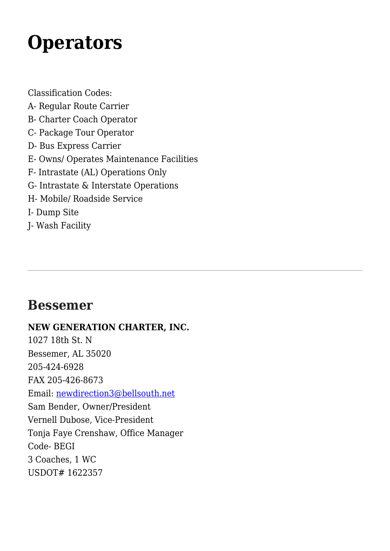# **[Operators](https://www.alabamamotorcoach.org/operators/)**

Classification Codes:

- A- Regular Route Carrier
- B- Charter Coach Operator
- C- Package Tour Operator
- D- Bus Express Carrier
- E- Owns/ Operates Maintenance Facilities
- F- Intrastate (AL) Operations Only
- G- Intrastate & Interstate Operations
- H- Mobile/ Roadside Service
- I- Dump Site
- J- Wash Facility

# **Bessemer**

### **NEW GENERATION CHARTER, INC.**

1027 18th St. N Bessemer, AL 35020 205-424-6928 FAX 205-426-8673 Email: [newdirection3@bellsouth.net](mailto:newdirection3@bellsouth.net) Sam Bender, Owner/President Vernell Dubose, Vice-President Tonja Faye Crenshaw, Office Manager Code- BEGI 3 Coaches, 1 WC USDOT# 1622357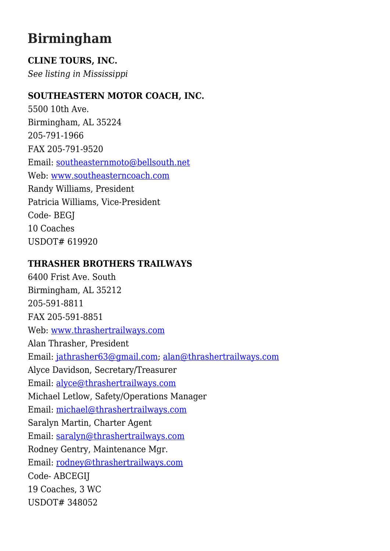# **Birmingham**

### **CLINE TOURS, INC.**

*See listing in Mississippi*

#### **SOUTHEASTERN MOTOR COACH, INC.**

5500 10th Ave. Birmingham, AL 35224 205-791-1966 FAX 205-791-9520 Email: [southeasternmoto@bellsouth.net](mailto:southeasternmoto@bellsouth.net) Web: [www.southeasterncoach.com](http://www.southeasterncoach.com) Randy Williams, President Patricia Williams, Vice-President Code- BEGJ 10 Coaches USDOT# 619920

#### **THRASHER BROTHERS TRAILWAYS**

6400 Frist Ave. South Birmingham, AL 35212 205-591-8811 FAX 205-591-8851 Web: [www.thrashertrailways.com](http://www.thrashertrailways.com) Alan Thrasher, President Email: [jathrasher63@gmail.com](mailto:jathrasher63@gmail.com); [alan@thrashertrailways.com](mailto:alan@thrashertrailways.com) Alyce Davidson, Secretary/Treasurer Email: [alyce@thrashertrailways.com](mailto:alyce@thrashertrailways.com) Michael Letlow, Safety/Operations Manager Email: [michael@thrashertrailways.com](mailto:michael@thrashertrailways.com) Saralyn Martin, Charter Agent Email: [saralyn@thrashertrailways.com](mailto:saralyn@thrashertrailways.com) Rodney Gentry, Maintenance Mgr. Email: [rodney@thrashertrailways.com](mailto:rodney@thrashertrailways.com) Code- ABCEGIJ 19 Coaches, 3 WC USDOT# 348052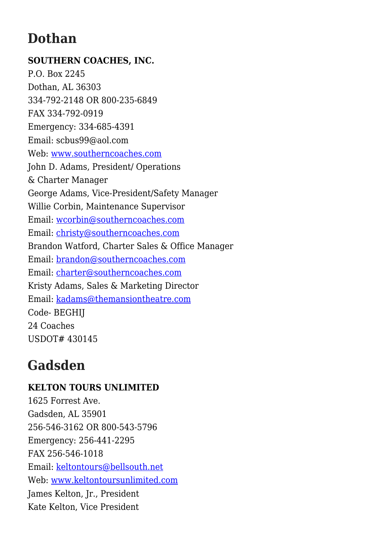# **Dothan**

### **SOUTHERN COACHES, INC.** P.O. Box 2245 Dothan, AL 36303 334-792-2148 OR 800-235-6849 FAX 334-792-0919 Emergency: 334-685-4391 Email: scbus99@aol.com Web: [www.southerncoaches.com](http://www.southerncoaches.com) John D. Adams, President/ Operations & Charter Manager George Adams, Vice-President/Safety Manager Willie Corbin, Maintenance Supervisor Email: [wcorbin@southerncoaches.com](mailto:wcorbin@southerncoaches.com) Email: [christy@southerncoaches.com](mailto:christy@southerncoaches.com) Brandon Watford, Charter Sales & Office Manager Email: [brandon@southerncoaches.com](mailto:brandon@southerncoaches.com) Email: [charter@southerncoaches.com](mailto:charter@southerncoaches.com) Kristy Adams, Sales & Marketing Director Email: [kadams@themansiontheatre.com](mailto:kadams@themansiontheatre.com) Code- BEGHIJ 24 Coaches USDOT# 430145

# **Gadsden**

### **KELTON TOURS UNLIMITED**

1625 Forrest Ave. Gadsden, AL 35901 256-546-3162 OR 800-543-5796 Emergency: 256-441-2295 FAX 256-546-1018 Email: [keltontours@bellsouth.net](mailto:keltontours@bellsouth.net) Web: [www.keltontoursunlimited.com](http://www.keltontoursunlimited.com) James Kelton, Jr., President Kate Kelton, Vice President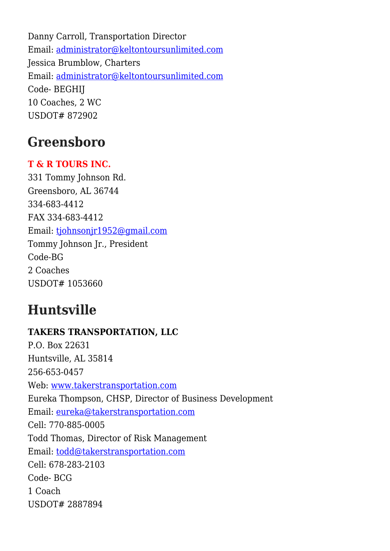Danny Carroll, Transportation Director Email: [administrator@keltontoursunlimited.com](mailto:administrator@keltontoursunlimited.com) Jessica Brumblow, Charters Email: [administrator@keltontoursunlimited.com](mailto:administrator@keltontoursunlimited.com) Code- BEGHIJ 10 Coaches, 2 WC USDOT# 872902

# **Greensboro**

### **T & R TOURS INC.**

331 Tommy Johnson Rd. Greensboro, AL 36744 334-683-4412 FAX 334-683-4412 Email: [tjohnsonjr1952@gmail.com](mailto:tjohnsonjr1952@gmail.com) Tommy Johnson Jr., President Code-BG 2 Coaches USDOT# 1053660

# **Huntsville**

### **TAKERS TRANSPORTATION, LLC** P.O. Box 22631 Huntsville, AL 35814 256-653-0457 Web: [www.takerstransportation.com](http://www.takerstransportation.com) Eureka Thompson, CHSP, Director of Business Development Email: [eureka@takerstransportation.com](mailto:eureka@takerstransportation.com) Cell: 770-885-0005 Todd Thomas, Director of Risk Management Email: [todd@takerstransportation.com](mailto:todd@takerstransportation.com) Cell: 678-283-2103 Code- BCG 1 Coach USDOT# 2887894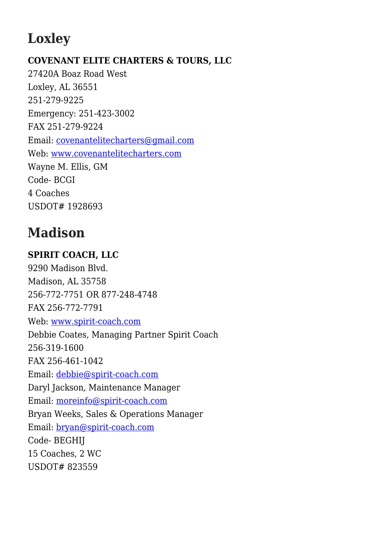# **Loxley**

### **COVENANT ELITE CHARTERS & TOURS, LLC**

27420A Boaz Road West Loxley, AL 36551 251-279-9225 Emergency: 251-423-3002 FAX 251-279-9224 Email: [covenantelitecharters@gmail.com](mailto:covenantelitecharters@gmail.com) Web: [www.covenantelitecharters.com](http://www.covenantelitecharters.com) Wayne M. Ellis, GM Code- BCGI 4 Coaches USDOT# 1928693

# **Madison**

### **SPIRIT COACH, LLC**

9290 Madison Blvd. Madison, AL 35758 256-772-7751 OR 877-248-4748 FAX 256-772-7791 Web: [www.spirit-coach.com](http://www.spirit-coach.com) Debbie Coates, Managing Partner Spirit Coach 256-319-1600 FAX 256-461-1042 Email: [debbie@spirit-coach.com](mailto:debbie@spirit-coach.com) Daryl Jackson, Maintenance Manager Email: [moreinfo@spirit-coach.com](mailto:moreinfo@spirit-coach.com) Bryan Weeks, Sales & Operations Manager Email: [bryan@spirit-coach.com](mailto:bryan@spirit-coach.com) Code- BEGHIJ 15 Coaches, 2 WC USDOT# 823559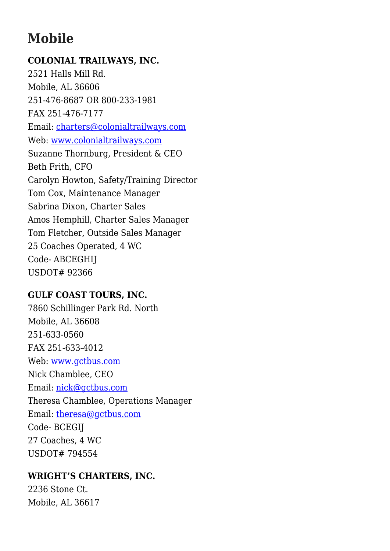# **Mobile**

#### **COLONIAL TRAILWAYS, INC.**

2521 Halls Mill Rd. Mobile, AL 36606 251-476-8687 OR 800-233-1981 FAX 251-476-7177 Email: [charters@colonialtrailways.com](mailto:charters@colonialtrailways.com) Web: [www.colonialtrailways.com](http://www.colonialtrailways.com) Suzanne Thornburg, President & CEO Beth Frith, CFO Carolyn Howton, Safety/Training Director Tom Cox, Maintenance Manager Sabrina Dixon, Charter Sales Amos Hemphill, Charter Sales Manager Tom Fletcher, Outside Sales Manager 25 Coaches Operated, 4 WC Code- ABCEGHIJ USDOT# 92366

### **GULF COAST TOURS, INC.**

7860 Schillinger Park Rd. North Mobile, AL 36608 251-633-0560 FAX 251-633-4012 Web: [www.gctbus.com](http://www.gctbus.com) Nick Chamblee, CEO Email: [nick@gctbus.com](mailto:nick@gctbus.com) Theresa Chamblee, Operations Manager Email: [theresa@gctbus.com](mailto:theresa@gctbus.com) Code- BCEGIJ 27 Coaches, 4 WC USDOT# 794554

#### **WRIGHT'S CHARTERS, INC.**

2236 Stone Ct. Mobile, AL 36617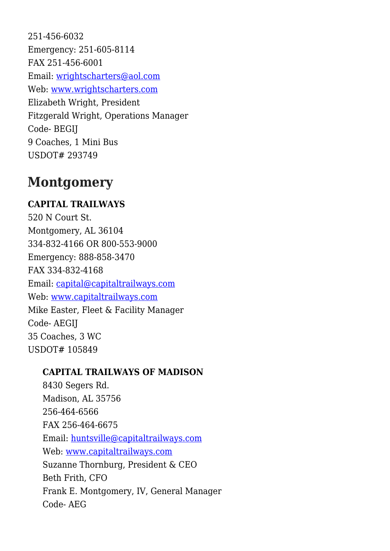251-456-6032 Emergency: 251-605-8114 FAX 251-456-6001 Email: [wrightscharters@aol.com](mailto:wrightscharters@aol.com) Web: [www.wrightscharters.com](http://www.wrightscharters.com) Elizabeth Wright, President Fitzgerald Wright, Operations Manager Code- BEGIJ 9 Coaches, 1 Mini Bus USDOT# 293749

## **Montgomery**

### **CAPITAL TRAILWAYS**

520 N Court St. Montgomery, AL 36104 334-832-4166 OR 800-553-9000 Emergency: 888-858-3470 FAX 334-832-4168 Email: [capital@capitaltrailways.com](mailto:capital@capitaltrailways.com) Web: [www.capitaltrailways.com](http://www.capitaltrailways.com) Mike Easter, Fleet & Facility Manager Code- AEGIJ 35 Coaches, 3 WC USDOT# 105849

### **CAPITAL TRAILWAYS OF MADISON**

8430 Segers Rd. Madison, AL 35756 256-464-6566 FAX 256-464-6675 Email: [huntsville@capitaltrailways.com](mailto:huntsville@capitaltrailways.com) Web: [www.capitaltrailways.com](http://www.capitaltrailways.com) Suzanne Thornburg, President & CEO Beth Frith, CFO Frank E. Montgomery, IV, General Manager Code- AEG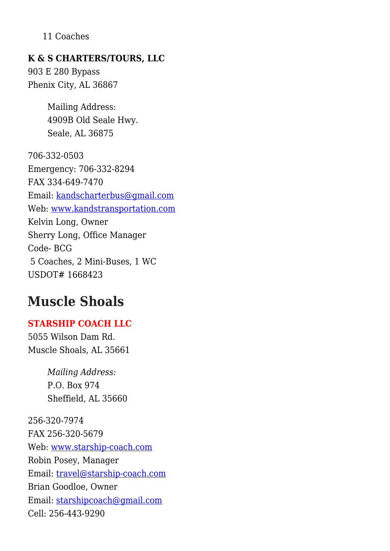#### 11 Coaches

#### **K & S CHARTERS/TOURS, LLC**

903 E 280 Bypass Phenix City, AL 36867

> Mailing Address: 4909B Old Seale Hwy. Seale, AL 36875

706-332-0503 Emergency: 706-332-8294 FAX 334-649-7470 Email: [kandscharterbus@gmail.com](mailto:kandscharterbus@gmail.com) Web: [www.kandstransportation.com](http://www.kandstransportation.com) Kelvin Long, Owner Sherry Long, Office Manager Code- BCG 5 Coaches, 2 Mini-Buses, 1 WC USDOT# 1668423

### **Muscle Shoals**

#### **STARSHIP COACH LLC**

5055 Wilson Dam Rd. Muscle Shoals, AL 35661

> *Mailing Address:* P.O. Box 974 Sheffield, AL 35660

256-320-7974 FAX 256-320-5679 Web: [www.starship-coach.com](http://www.starship-coach.com/) Robin Posey, Manager Email: [travel@starship-coach.com](mailto:travel@starship-coach.com) Brian Goodloe, Owner Email: [starshipcoach@gmail.com](mailto:starshipcoach@gmail.com) Cell: 256-443-9290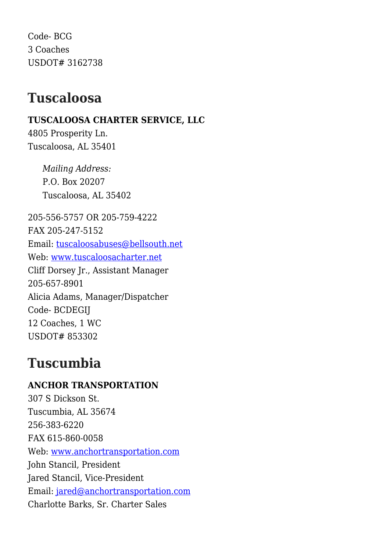Code- BCG 3 Coaches USDOT# 3162738

### **Tuscaloosa**

### **TUSCALOOSA CHARTER SERVICE, LLC**

4805 Prosperity Ln. Tuscaloosa, AL 35401

> *Mailing Address:* P.O. Box 20207 Tuscaloosa, AL 35402

205-556-5757 OR 205-759-4222 FAX 205-247-5152 Email: [tuscaloosabuses@bellsouth.net](mailto:tuscaloosabuses@bellsouth.net) Web: [www.tuscaloosacharter.net](http://www.tuscaloosacharter.net) Cliff Dorsey Jr., Assistant Manager 205-657-8901 Alicia Adams, Manager/Dispatcher Code- BCDEGIJ 12 Coaches, 1 WC USDOT# 853302

# **Tuscumbia**

**ANCHOR TRANSPORTATION** 307 S Dickson St. Tuscumbia, AL 35674 256-383-6220 FAX 615-860-0058 Web: [www.anchortransportation.com](http://www.anchortransportation.com) John Stancil, President Jared Stancil, Vice-President Email: [jared@anchortransportation.com](mailto:jared@anchortransportation.com) Charlotte Barks, Sr. Charter Sales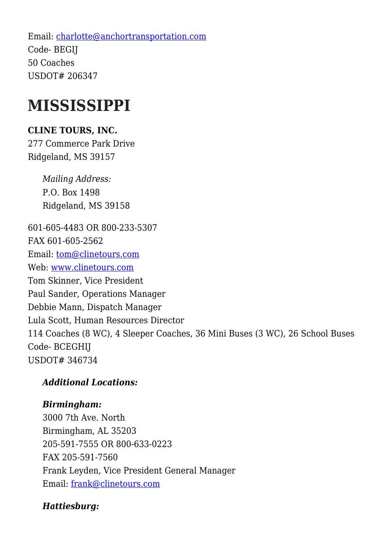Email: [charlotte@anchortransportation.com](mailto:charlotte@anchortransportation.com) Code- BEGIJ 50 Coaches USDOT# 206347

# **MISSISSIPPI**

### **CLINE TOURS, INC.**

277 Commerce Park Drive Ridgeland, MS 39157

> *Mailing Address:* P.O. Box 1498 Ridgeland, MS 39158

601-605-4483 OR 800-233-5307 FAX 601-605-2562 Email: [tom@clinetours.com](mailto:tom@clinetours.com) Web: [www.clinetours.com](http://www.clinetours.com) Tom Skinner, Vice President Paul Sander, Operations Manager Debbie Mann, Dispatch Manager Lula Scott, Human Resources Director 114 Coaches (8 WC), 4 Sleeper Coaches, 36 Mini Buses (3 WC), 26 School Buses Code- BCEGHIJ USDOT# 346734

### *Additional Locations:*

### *Birmingham:*

3000 7th Ave. North Birmingham, AL 35203 205-591-7555 OR 800-633-0223 FAX 205-591-7560 Frank Leyden, Vice President General Manager Email: [frank@clinetours.com](mailto:frank@clinetours.com)

### *Hattiesburg:*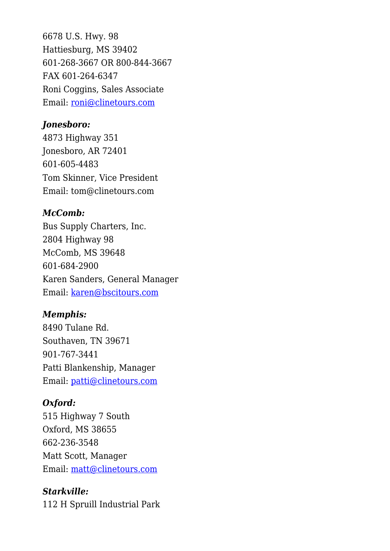6678 U.S. Hwy. 98 Hattiesburg, MS 39402 601-268-3667 OR 800-844-3667 FAX 601-264-6347 Roni Coggins, Sales Associate Email: [roni@clinetours.com](mailto:roni@clinetours.com)

#### *Jonesboro:*

4873 Highway 351 Jonesboro, AR 72401 601-605-4483 Tom Skinner, Vice President Email: tom@clinetours.com

#### *McComb:*

Bus Supply Charters, Inc. 2804 Highway 98 McComb, MS 39648 601-684-2900 Karen Sanders, General Manager Email: [karen@bscitours.com](mailto:karen@bscitours.com)

#### *Memphis:*

8490 Tulane Rd. Southaven, TN 39671 901-767-3441 Patti Blankenship, Manager Email: [patti@clinetours.com](mailto:patti@clinetours.com)

#### *Oxford:*

515 Highway 7 South Oxford, MS 38655 662-236-3548 Matt Scott, Manager Email: [matt@clinetours.com](mailto:matt@clinetours.com)

#### *Starkville:*

112 H Spruill Industrial Park